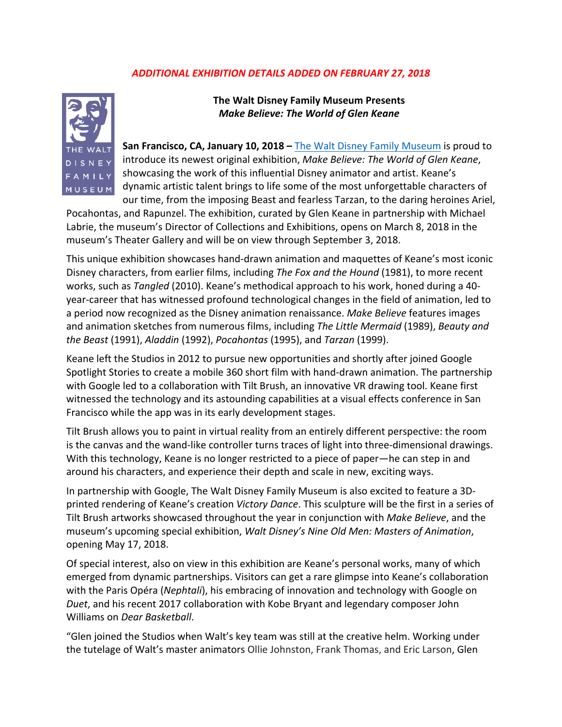## *ADDITIONAL EXHIBITION DETAILS ADDED ON FEBRUARY 27, 2018*



**The Walt Disney Family Museum Presents Make Believe: The World of Glen Keane** 

**San Francisco, CA, January 10, 2018** – The Walt Disney Family Museum is proud to introduce its newest original exhibition, Make Believe: The World of Glen Keane, showcasing the work of this influential Disney animator and artist. Keane's dynamic artistic talent brings to life some of the most unforgettable characters of our time, from the imposing Beast and fearless Tarzan, to the daring heroines Ariel,

Pocahontas, and Rapunzel. The exhibition, curated by Glen Keane in partnership with Michael Labrie, the museum's Director of Collections and Exhibitions, opens on March 8, 2018 in the museum's Theater Gallery and will be on view through September 3, 2018.

This unique exhibition showcases hand-drawn animation and maquettes of Keane's most iconic Disney characters, from earlier films, including *The Fox and the Hound* (1981), to more recent works, such as *Tangled* (2010). Keane's methodical approach to his work, honed during a 40year-career that has witnessed profound technological changes in the field of animation, led to a period now recognized as the Disney animation renaissance. Make Believe features images and animation sketches from numerous films, including *The Little Mermaid* (1989), *Beauty and the Beast* (1991), *Aladdin* (1992), *Pocahontas* (1995), and *Tarzan* (1999). 

Keane left the Studios in 2012 to pursue new opportunities and shortly after joined Google Spotlight Stories to create a mobile 360 short film with hand-drawn animation. The partnership with Google led to a collaboration with Tilt Brush, an innovative VR drawing tool. Keane first witnessed the technology and its astounding capabilities at a visual effects conference in San Francisco while the app was in its early development stages.

Tilt Brush allows you to paint in virtual reality from an entirely different perspective: the room is the canvas and the wand-like controller turns traces of light into three-dimensional drawings. With this technology, Keane is no longer restricted to a piece of paper—he can step in and around his characters, and experience their depth and scale in new, exciting ways.

In partnership with Google, The Walt Disney Family Museum is also excited to feature a 3Dprinted rendering of Keane's creation Victory Dance. This sculpture will be the first in a series of Tilt Brush artworks showcased throughout the year in conjunction with *Make Believe*, and the museum's upcoming special exhibition, *Walt Disney's Nine Old Men: Masters of Animation*, opening May 17, 2018.

Of special interest, also on view in this exhibition are Keane's personal works, many of which emerged from dynamic partnerships. Visitors can get a rare glimpse into Keane's collaboration with the Paris Opéra (*Nephtali*), his embracing of innovation and technology with Google on *Duet*, and his recent 2017 collaboration with Kobe Bryant and legendary composer John Williams on *Dear Basketball*.

"Glen joined the Studios when Walt's key team was still at the creative helm. Working under the tutelage of Walt's master animators Ollie Johnston, Frank Thomas, and Eric Larson, Glen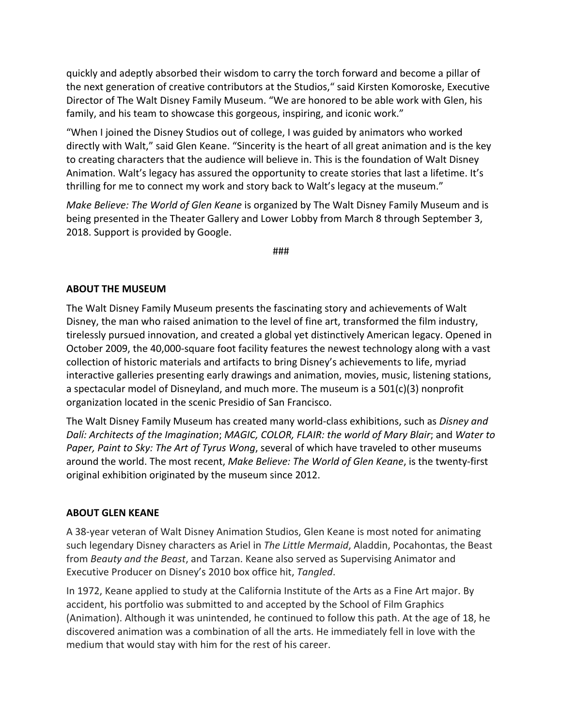quickly and adeptly absorbed their wisdom to carry the torch forward and become a pillar of the next generation of creative contributors at the Studios," said Kirsten Komoroske, Executive Director of The Walt Disney Family Museum. "We are honored to be able work with Glen, his family, and his team to showcase this gorgeous, inspiring, and iconic work."

"When I joined the Disney Studios out of college, I was guided by animators who worked directly with Walt," said Glen Keane. "Sincerity is the heart of all great animation and is the key to creating characters that the audience will believe in. This is the foundation of Walt Disney Animation. Walt's legacy has assured the opportunity to create stories that last a lifetime. It's thrilling for me to connect my work and story back to Walt's legacy at the museum."

*Make Believe: The World of Glen Keane* is organized by The Walt Disney Family Museum and is being presented in the Theater Gallery and Lower Lobby from March 8 through September 3, 2018. Support is provided by Google.

###

## **ABOUT THE MUSEUM**

The Walt Disney Family Museum presents the fascinating story and achievements of Walt Disney, the man who raised animation to the level of fine art, transformed the film industry, tirelessly pursued innovation, and created a global yet distinctively American legacy. Opened in October 2009, the 40,000-square foot facility features the newest technology along with a vast collection of historic materials and artifacts to bring Disney's achievements to life, myriad interactive galleries presenting early drawings and animation, movies, music, listening stations, a spectacular model of Disneyland, and much more. The museum is a  $501(c)(3)$  nonprofit organization located in the scenic Presidio of San Francisco.

The Walt Disney Family Museum has created many world-class exhibitions, such as *Disney and Dalí:* Architects of the Imagination; MAGIC, COLOR, FLAIR: the world of Mary Blair; and Water to *Paper, Paint to Sky: The Art of Tyrus Wong,* several of which have traveled to other museums around the world. The most recent, *Make Believe: The World of Glen Keane*, is the twenty-first original exhibition originated by the museum since 2012.

## **ABOUT GLEN KEANE**

A 38-year veteran of Walt Disney Animation Studios, Glen Keane is most noted for animating such legendary Disney characters as Ariel in *The Little Mermaid*, Aladdin, Pocahontas, the Beast from *Beauty and the Beast*, and Tarzan. Keane also served as Supervising Animator and Executive Producer on Disney's 2010 box office hit, Tangled.

In 1972, Keane applied to study at the California Institute of the Arts as a Fine Art major. By accident, his portfolio was submitted to and accepted by the School of Film Graphics (Animation). Although it was unintended, he continued to follow this path. At the age of 18, he discovered animation was a combination of all the arts. He immediately fell in love with the medium that would stay with him for the rest of his career.